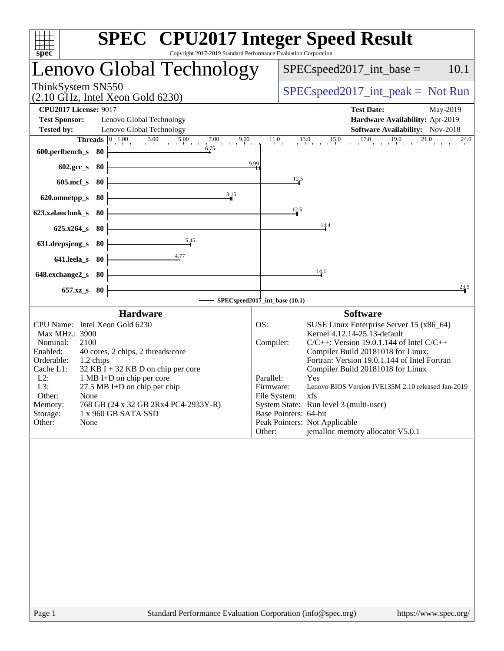| $s\overline{pec}$<br>Copyright 2017-2019 Standard Performance Evaluation Corporation                                                                                                                                                                                                                                                                        | <b>SPEC<sup>®</sup></b> CPU2017 Integer Speed Result                                                                                                                                                                                                                                                                                                                                                   |
|-------------------------------------------------------------------------------------------------------------------------------------------------------------------------------------------------------------------------------------------------------------------------------------------------------------------------------------------------------------|--------------------------------------------------------------------------------------------------------------------------------------------------------------------------------------------------------------------------------------------------------------------------------------------------------------------------------------------------------------------------------------------------------|
| Lenovo Global Technology                                                                                                                                                                                                                                                                                                                                    | 10.1<br>$SPEC speed2017\_int\_base =$                                                                                                                                                                                                                                                                                                                                                                  |
| ThinkSystem SN550<br>$(2.10 \text{ GHz}, \text{Intel Xeon Gold } 6230)$                                                                                                                                                                                                                                                                                     | $SPEC speed2017\_int\_peak = Not Run$                                                                                                                                                                                                                                                                                                                                                                  |
| <b>CPU2017 License: 9017</b><br><b>Test Sponsor:</b><br>Lenovo Global Technology<br><b>Tested by:</b><br>Lenovo Global Technology                                                                                                                                                                                                                           | <b>Test Date:</b><br>May-2019<br>Hardware Availability: Apr-2019<br>Software Availability: Nov-2018                                                                                                                                                                                                                                                                                                    |
| $3.00$ $5.00$<br>$\boxed{0\quad1.00}$<br>7.00<br>$\frac{7.00}{1}$<br><b>Threads</b><br>6.75<br>600.perlbench_s<br>- 80<br>602.gcc_s<br>80                                                                                                                                                                                                                   | $\frac{15.0}{1}$ $\frac{17.0}{1}$<br>19.0<br>21.0<br>11.0<br>13.0<br>$24.0$ <sub>1</sub><br>9.99                                                                                                                                                                                                                                                                                                       |
| $605$ .mcf_s<br>80                                                                                                                                                                                                                                                                                                                                          | $\frac{12.5}{4}$                                                                                                                                                                                                                                                                                                                                                                                       |
| 8,15<br>620.omnetpp_s<br>80                                                                                                                                                                                                                                                                                                                                 |                                                                                                                                                                                                                                                                                                                                                                                                        |
| 623.xalancbmk_s<br>80                                                                                                                                                                                                                                                                                                                                       | 12.5<br>14.4                                                                                                                                                                                                                                                                                                                                                                                           |
| $625.x264_s$<br>80<br>5.45<br>631.deepsjeng_s<br>80                                                                                                                                                                                                                                                                                                         |                                                                                                                                                                                                                                                                                                                                                                                                        |
| 4.77<br>641.leela_s<br>80                                                                                                                                                                                                                                                                                                                                   |                                                                                                                                                                                                                                                                                                                                                                                                        |
| 648.exchange2_s<br>-80                                                                                                                                                                                                                                                                                                                                      | 14.1                                                                                                                                                                                                                                                                                                                                                                                                   |
| $657.xz$ <sub>S</sub><br>80                                                                                                                                                                                                                                                                                                                                 | 23.5                                                                                                                                                                                                                                                                                                                                                                                                   |
| <b>Hardware</b>                                                                                                                                                                                                                                                                                                                                             | SPECspeed2017_int_base (10.1)<br><b>Software</b>                                                                                                                                                                                                                                                                                                                                                       |
| CPU Name: Intel Xeon Gold 6230                                                                                                                                                                                                                                                                                                                              | OS:<br>SUSE Linux Enterprise Server 15 (x86_64)                                                                                                                                                                                                                                                                                                                                                        |
| Max MHz.: 3900<br>2100<br>Nominal:<br>Enabled:<br>40 cores, 2 chips, 2 threads/core<br>Orderable:<br>1,2 chips<br>$32$ KB I + 32 KB D on chip per core<br>Cache L1:<br>$L2$ :<br>1 MB I+D on chip per core<br>L3:<br>$27.5$ MB I+D on chip per chip<br>Other:<br>None<br>Memory:<br>768 GB (24 x 32 GB 2Rx4 PC4-2933Y-R)<br>Storage:<br>1 x 960 GB SATA SSD | Kernel 4.12.14-25.13-default<br>Compiler:<br>$C/C++$ : Version 19.0.1.144 of Intel $C/C++$<br>Compiler Build 20181018 for Linux;<br>Fortran: Version 19.0.1.144 of Intel Fortran<br>Compiler Build 20181018 for Linux<br>Parallel:<br>Yes<br>Firmware:<br>Lenovo BIOS Version IVE135M 2.10 released Jan-2019<br>File System:<br>xfs<br>System State: Run level 3 (multi-user)<br>Base Pointers: 64-bit |
| Other:<br>None                                                                                                                                                                                                                                                                                                                                              | Peak Pointers: Not Applicable<br>jemalloc memory allocator V5.0.1<br>Other:                                                                                                                                                                                                                                                                                                                            |
|                                                                                                                                                                                                                                                                                                                                                             |                                                                                                                                                                                                                                                                                                                                                                                                        |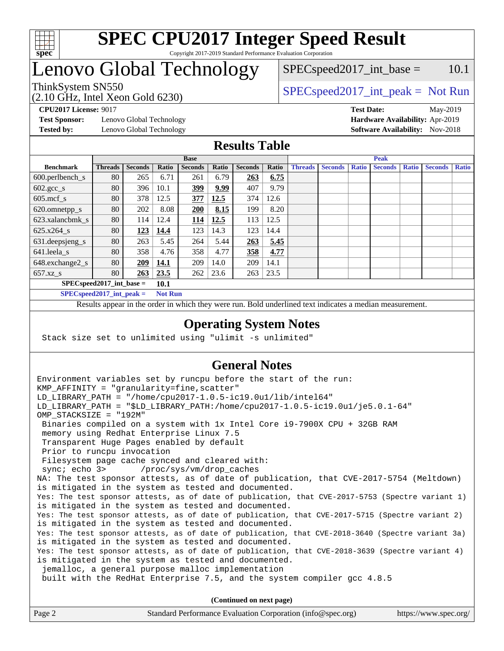

## Lenovo Global Technology

 $SPEC speed2017\_int\_base = 10.1$ 

(2.10 GHz, Intel Xeon Gold 6230)

ThinkSystem SN550<br>  $SPEC speed2017\_int\_peak = Not Run$ 

**[Test Sponsor:](http://www.spec.org/auto/cpu2017/Docs/result-fields.html#TestSponsor)** Lenovo Global Technology **[Hardware Availability:](http://www.spec.org/auto/cpu2017/Docs/result-fields.html#HardwareAvailability)** Apr-2019

**[CPU2017 License:](http://www.spec.org/auto/cpu2017/Docs/result-fields.html#CPU2017License)** 9017 **[Test Date:](http://www.spec.org/auto/cpu2017/Docs/result-fields.html#TestDate)** May-2019 **[Tested by:](http://www.spec.org/auto/cpu2017/Docs/result-fields.html#Testedby)** Lenovo Global Technology **[Software Availability:](http://www.spec.org/auto/cpu2017/Docs/result-fields.html#SoftwareAvailability)** Nov-2018

## **[Results Table](http://www.spec.org/auto/cpu2017/Docs/result-fields.html#ResultsTable)**

|                                      | <b>Base</b>    |                |       |                |       |                | <b>Peak</b> |                |                |              |                |              |                |              |
|--------------------------------------|----------------|----------------|-------|----------------|-------|----------------|-------------|----------------|----------------|--------------|----------------|--------------|----------------|--------------|
| <b>Benchmark</b>                     | <b>Threads</b> | <b>Seconds</b> | Ratio | <b>Seconds</b> | Ratio | <b>Seconds</b> | Ratio       | <b>Threads</b> | <b>Seconds</b> | <b>Ratio</b> | <b>Seconds</b> | <b>Ratio</b> | <b>Seconds</b> | <b>Ratio</b> |
| $600.$ perlbench $\mathsf{S}$        | 80             | 265            | 6.71  | 261            | 6.79  | 263            | 6.75        |                |                |              |                |              |                |              |
| $602 \text{.} \text{gcc}\text{_<}$ s | 80             | 396            | 10.1  | 399            | 9.99  | 407            | 9.79        |                |                |              |                |              |                |              |
| $605$ .mcf s                         | 80             | 378            | 12.5  | 377            | 12.5  | 374            | 12.6        |                |                |              |                |              |                |              |
| 620.omnetpp_s                        | 80             | 202            | 8.08  | 200            | 8.15  | 199            | 8.20        |                |                |              |                |              |                |              |
| 623.xalancbmk s                      | 80             | 114            | 12.4  | 114            | 12.5  | 113            | 12.5        |                |                |              |                |              |                |              |
| 625.x264 s                           | 80             | 123            | 14.4  | 123            | 14.3  | 123            | 14.4        |                |                |              |                |              |                |              |
| 631.deepsjeng_s                      | 80             | 263            | 5.45  | 264            | 5.44  | 263            | 5.45        |                |                |              |                |              |                |              |
| $641$ .leela_s                       | 80             | 358            | 4.76  | 358            | 4.77  | 358            | 4.77        |                |                |              |                |              |                |              |
| 648.exchange2_s                      | 80             | 209            | 14.1  | 209            | 14.0  | 209            | 14.1        |                |                |              |                |              |                |              |
| $657.xz$ s                           | 80             | 263            | 23.5  | 262            | 23.6  | 263            | 23.5        |                |                |              |                |              |                |              |
| $SPEC speed2017$ int base =          |                |                | 10.1  |                |       |                |             |                |                |              |                |              |                |              |

**[SPECspeed2017\\_int\\_peak =](http://www.spec.org/auto/cpu2017/Docs/result-fields.html#SPECspeed2017intpeak) Not Run**

Results appear in the [order in which they were run.](http://www.spec.org/auto/cpu2017/Docs/result-fields.html#RunOrder) Bold underlined text [indicates a median measurement.](http://www.spec.org/auto/cpu2017/Docs/result-fields.html#Median)

### **[Operating System Notes](http://www.spec.org/auto/cpu2017/Docs/result-fields.html#OperatingSystemNotes)**

Stack size set to unlimited using "ulimit -s unlimited"

## **[General Notes](http://www.spec.org/auto/cpu2017/Docs/result-fields.html#GeneralNotes)**

Environment variables set by runcpu before the start of the run: KMP AFFINITY = "granularity=fine, scatter" LD\_LIBRARY\_PATH = "/home/cpu2017-1.0.5-ic19.0u1/lib/intel64" LD\_LIBRARY\_PATH = "\$LD\_LIBRARY\_PATH:/home/cpu2017-1.0.5-ic19.0u1/je5.0.1-64" OMP\_STACKSIZE = "192M" Binaries compiled on a system with 1x Intel Core i9-7900X CPU + 32GB RAM memory using Redhat Enterprise Linux 7.5 Transparent Huge Pages enabled by default Prior to runcpu invocation Filesystem page cache synced and cleared with: sync; echo 3> /proc/sys/vm/drop\_caches NA: The test sponsor attests, as of date of publication, that CVE-2017-5754 (Meltdown) is mitigated in the system as tested and documented. Yes: The test sponsor attests, as of date of publication, that CVE-2017-5753 (Spectre variant 1) is mitigated in the system as tested and documented. Yes: The test sponsor attests, as of date of publication, that CVE-2017-5715 (Spectre variant 2) is mitigated in the system as tested and documented. Yes: The test sponsor attests, as of date of publication, that CVE-2018-3640 (Spectre variant 3a) is mitigated in the system as tested and documented. Yes: The test sponsor attests, as of date of publication, that CVE-2018-3639 (Spectre variant 4) is mitigated in the system as tested and documented. jemalloc, a general purpose malloc implementation built with the RedHat Enterprise 7.5, and the system compiler gcc 4.8.5 **(Continued on next page)**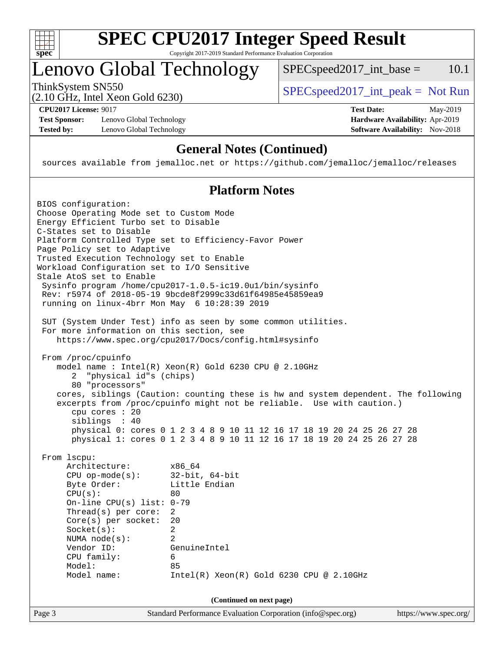

# **[SPEC CPU2017 Integer Speed Result](http://www.spec.org/auto/cpu2017/Docs/result-fields.html#SPECCPU2017IntegerSpeedResult)**

Copyright 2017-2019 Standard Performance Evaluation Corporation

## Lenovo Global Technology

ThinkSystem SN550<br>  $(2.10 \text{ GHz. Intel Yoon Gold } 6230)$  [SPECspeed2017\\_int\\_peak =](http://www.spec.org/auto/cpu2017/Docs/result-fields.html#SPECspeed2017intpeak) Not Run

 $SPECspeed2017\_int\_base = 10.1$ 

(2.10 GHz, Intel Xeon Gold 6230)

**[Test Sponsor:](http://www.spec.org/auto/cpu2017/Docs/result-fields.html#TestSponsor)** Lenovo Global Technology **[Hardware Availability:](http://www.spec.org/auto/cpu2017/Docs/result-fields.html#HardwareAvailability)** Apr-2019 **[Tested by:](http://www.spec.org/auto/cpu2017/Docs/result-fields.html#Testedby)** Lenovo Global Technology **[Software Availability:](http://www.spec.org/auto/cpu2017/Docs/result-fields.html#SoftwareAvailability)** Nov-2018

**[CPU2017 License:](http://www.spec.org/auto/cpu2017/Docs/result-fields.html#CPU2017License)** 9017 **[Test Date:](http://www.spec.org/auto/cpu2017/Docs/result-fields.html#TestDate)** May-2019

## **[General Notes \(Continued\)](http://www.spec.org/auto/cpu2017/Docs/result-fields.html#GeneralNotes)**

sources available from jemalloc.net or <https://github.com/jemalloc/jemalloc/releases>

## **[Platform Notes](http://www.spec.org/auto/cpu2017/Docs/result-fields.html#PlatformNotes)**

| Page 3                   |                                                                                                                                                                                                                                                                                                                       | Standard Performance Evaluation Corporation (info@spec.org)                                                                                                                                                                                                                                                                                                                  | https://www.spec.org/ |  |
|--------------------------|-----------------------------------------------------------------------------------------------------------------------------------------------------------------------------------------------------------------------------------------------------------------------------------------------------------------------|------------------------------------------------------------------------------------------------------------------------------------------------------------------------------------------------------------------------------------------------------------------------------------------------------------------------------------------------------------------------------|-----------------------|--|
| (Continued on next page) |                                                                                                                                                                                                                                                                                                                       |                                                                                                                                                                                                                                                                                                                                                                              |                       |  |
|                          | From 1scpu:<br>Architecture:<br>$CPU$ op-mode( $s$ ):<br>Byte Order:<br>CPU(s):<br>On-line CPU(s) list: $0-79$<br>Thread(s) per core:<br>$Core(s)$ per socket:<br>Socket(s):<br>NUMA $node(s):$<br>Vendor ID:<br>CPU family:<br>Model:<br>Model name:                                                                 | x86_64<br>$32$ -bit, $64$ -bit<br>Little Endian<br>80<br>2<br>20<br>$\overline{2}$<br>2<br>GenuineIntel<br>6<br>85<br>$Intel(R)$ Xeon $(R)$ Gold 6230 CPU @ 2.10GHz                                                                                                                                                                                                          |                       |  |
|                          | From /proc/cpuinfo<br>2 "physical id"s (chips)<br>80 "processors"<br>cpu cores : 20<br>siblings : 40                                                                                                                                                                                                                  | model name: $Intel(R)$ Xeon $(R)$ Gold 6230 CPU @ 2.10GHz<br>cores, siblings (Caution: counting these is hw and system dependent. The following<br>excerpts from /proc/cpuinfo might not be reliable. Use with caution.)<br>physical 0: cores 0 1 2 3 4 8 9 10 11 12 16 17 18 19 20 24 25 26 27 28<br>physical 1: cores 0 1 2 3 4 8 9 10 11 12 16 17 18 19 20 24 25 26 27 28 |                       |  |
|                          | For more information on this section, see                                                                                                                                                                                                                                                                             | SUT (System Under Test) info as seen by some common utilities.<br>https://www.spec.org/cpu2017/Docs/config.html#sysinfo                                                                                                                                                                                                                                                      |                       |  |
|                          | Choose Operating Mode set to Custom Mode<br>Energy Efficient Turbo set to Disable<br>C-States set to Disable<br>Page Policy set to Adaptive<br>Trusted Execution Technology set to Enable<br>Workload Configuration set to I/O Sensitive<br>Stale AtoS set to Enable<br>running on linux-4brr Mon May 6 10:28:39 2019 | Platform Controlled Type set to Efficiency-Favor Power<br>Sysinfo program /home/cpu2017-1.0.5-ic19.0ul/bin/sysinfo<br>Rev: r5974 of 2018-05-19 9bcde8f2999c33d61f64985e45859ea9                                                                                                                                                                                              |                       |  |
|                          | BIOS configuration:                                                                                                                                                                                                                                                                                                   |                                                                                                                                                                                                                                                                                                                                                                              |                       |  |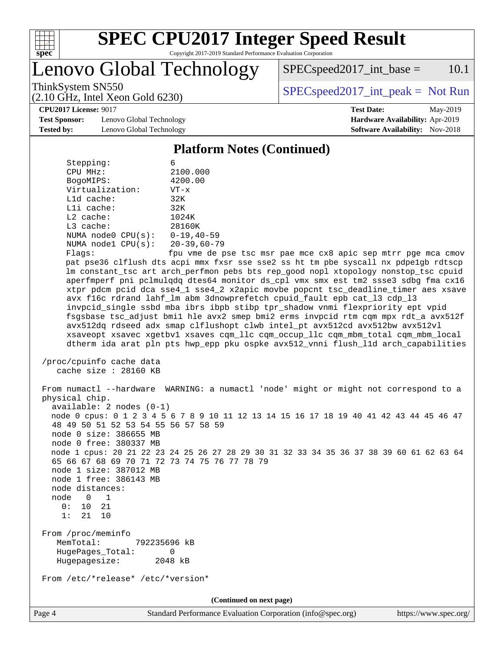

Lenovo Global Technology

 $SPEC speed2017\_int\_base = 10.1$ 

(2.10 GHz, Intel Xeon Gold 6230)

ThinkSystem SN550<br>  $SPEC speed2017\_int\_peak = Not Run$ 

**[Test Sponsor:](http://www.spec.org/auto/cpu2017/Docs/result-fields.html#TestSponsor)** Lenovo Global Technology **[Hardware Availability:](http://www.spec.org/auto/cpu2017/Docs/result-fields.html#HardwareAvailability)** Apr-2019 **[Tested by:](http://www.spec.org/auto/cpu2017/Docs/result-fields.html#Testedby)** Lenovo Global Technology **[Software Availability:](http://www.spec.org/auto/cpu2017/Docs/result-fields.html#SoftwareAvailability)** Nov-2018

**[CPU2017 License:](http://www.spec.org/auto/cpu2017/Docs/result-fields.html#CPU2017License)** 9017 **[Test Date:](http://www.spec.org/auto/cpu2017/Docs/result-fields.html#TestDate)** May-2019

#### **[Platform Notes \(Continued\)](http://www.spec.org/auto/cpu2017/Docs/result-fields.html#PlatformNotes)**

| Stepping:          | 6                                                            |  |  |  |  |
|--------------------|--------------------------------------------------------------|--|--|--|--|
| CPU MHz:           | 2100.000                                                     |  |  |  |  |
| BogoMIPS:          | 4200.00                                                      |  |  |  |  |
| Virtualization:    | $VT - x$                                                     |  |  |  |  |
| $L1d$ cache:       | 32K                                                          |  |  |  |  |
| $L1i$ cache:       | 32K                                                          |  |  |  |  |
| $L2$ cache:        | 1024K                                                        |  |  |  |  |
| $L3$ cache:        | 28160K                                                       |  |  |  |  |
| NUMA node0 CPU(s): | $0 - 19, 40 - 59$                                            |  |  |  |  |
| NUMA node1 CPU(s): | $20 - 39,60 - 79$                                            |  |  |  |  |
| F1200              | $f_{\text{D11}}$ $\text{cm0}$ $\text{d} \text{c}$ $\text{r}$ |  |  |  |  |

 Flags: fpu vme de pse tsc msr pae mce cx8 apic sep mtrr pge mca cmov pat pse36 clflush dts acpi mmx fxsr sse sse2 ss ht tm pbe syscall nx pdpe1gb rdtscp lm constant\_tsc art arch\_perfmon pebs bts rep\_good nopl xtopology nonstop\_tsc cpuid aperfmperf pni pclmulqdq dtes64 monitor ds\_cpl vmx smx est tm2 ssse3 sdbg fma cx16 xtpr pdcm pcid dca sse4\_1 sse4\_2 x2apic movbe popcnt tsc\_deadline\_timer aes xsave avx f16c rdrand lahf\_lm abm 3dnowprefetch cpuid\_fault epb cat\_l3 cdp\_l3 invpcid\_single ssbd mba ibrs ibpb stibp tpr\_shadow vnmi flexpriority ept vpid fsgsbase tsc\_adjust bmi1 hle avx2 smep bmi2 erms invpcid rtm cqm mpx rdt\_a avx512f avx512dq rdseed adx smap clflushopt clwb intel\_pt avx512cd avx512bw avx512vl xsaveopt xsavec xgetbv1 xsaves cqm\_llc cqm\_occup\_llc cqm\_mbm\_total cqm\_mbm\_local dtherm ida arat pln pts hwp\_epp pku ospke avx512\_vnni flush\_l1d arch\_capabilities

```
 /proc/cpuinfo cache data
cache size : 28160 KB
```
 From numactl --hardware WARNING: a numactl 'node' might or might not correspond to a physical chip. available: 2 nodes (0-1) node 0 cpus: 0 1 2 3 4 5 6 7 8 9 10 11 12 13 14 15 16 17 18 19 40 41 42 43 44 45 46 47 48 49 50 51 52 53 54 55 56 57 58 59 node 0 size: 386655 MB node 0 free: 380337 MB node 1 cpus: 20 21 22 23 24 25 26 27 28 29 30 31 32 33 34 35 36 37 38 39 60 61 62 63 64 65 66 67 68 69 70 71 72 73 74 75 76 77 78 79 node 1 size: 387012 MB node 1 free: 386143 MB node distances: node 0 1 0: 10 21 1: 21 10 From /proc/meminfo MemTotal: 792235696 kB HugePages\_Total: 0 Hugepagesize: 2048 kB From /etc/\*release\* /etc/\*version\* **(Continued on next page)**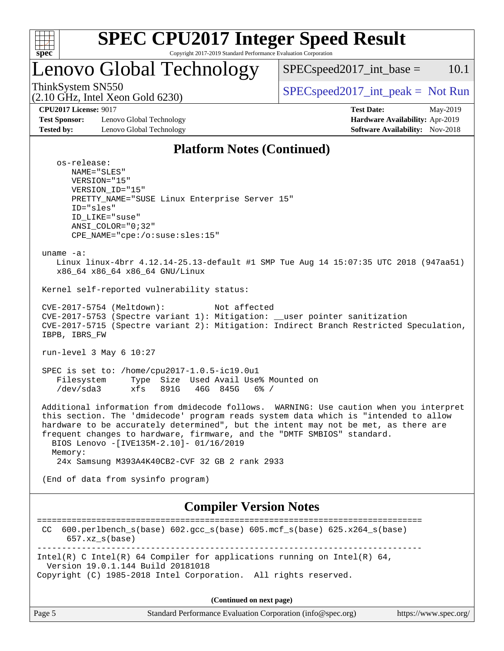

## Lenovo Global Technology

 $SPEC speed2017\_int\_base = 10.1$ 

(2.10 GHz, Intel Xeon Gold 6230)

ThinkSystem SN550  $SPEC speed2017\_int\_peak = Not Run$ 

**[Test Sponsor:](http://www.spec.org/auto/cpu2017/Docs/result-fields.html#TestSponsor)** Lenovo Global Technology **[Hardware Availability:](http://www.spec.org/auto/cpu2017/Docs/result-fields.html#HardwareAvailability)** Apr-2019 **[Tested by:](http://www.spec.org/auto/cpu2017/Docs/result-fields.html#Testedby)** Lenovo Global Technology **[Software Availability:](http://www.spec.org/auto/cpu2017/Docs/result-fields.html#SoftwareAvailability)** Nov-2018

**[CPU2017 License:](http://www.spec.org/auto/cpu2017/Docs/result-fields.html#CPU2017License)** 9017 **[Test Date:](http://www.spec.org/auto/cpu2017/Docs/result-fields.html#TestDate)** May-2019

### **[Platform Notes \(Continued\)](http://www.spec.org/auto/cpu2017/Docs/result-fields.html#PlatformNotes)**

 os-release: NAME="SLES" VERSION="15" VERSION\_ID="15" PRETTY\_NAME="SUSE Linux Enterprise Server 15" ID="sles" ID\_LIKE="suse" ANSI\_COLOR="0;32" CPE\_NAME="cpe:/o:suse:sles:15" uname -a: Linux linux-4brr 4.12.14-25.13-default #1 SMP Tue Aug 14 15:07:35 UTC 2018 (947aa51) x86\_64 x86\_64 x86\_64 GNU/Linux Kernel self-reported vulnerability status: CVE-2017-5754 (Meltdown): Not affected CVE-2017-5753 (Spectre variant 1): Mitigation: \_\_user pointer sanitization CVE-2017-5715 (Spectre variant 2): Mitigation: Indirect Branch Restricted Speculation, IBPB, IBRS\_FW run-level 3 May 6 10:27 SPEC is set to: /home/cpu2017-1.0.5-ic19.0u1 Filesystem Type Size Used Avail Use% Mounted on /dev/sda3 xfs 891G 46G 845G 6% / Additional information from dmidecode follows. WARNING: Use caution when you interpret this section. The 'dmidecode' program reads system data which is "intended to allow hardware to be accurately determined", but the intent may not be met, as there are frequent changes to hardware, firmware, and the "DMTF SMBIOS" standard. BIOS Lenovo -[IVE135M-2.10]- 01/16/2019 Memory: 24x Samsung M393A4K40CB2-CVF 32 GB 2 rank 2933 (End of data from sysinfo program)

## **[Compiler Version Notes](http://www.spec.org/auto/cpu2017/Docs/result-fields.html#CompilerVersionNotes)**

============================================================================== CC 600.perlbench\_s(base) 602.gcc\_s(base) 605.mcf\_s(base) 625.x264\_s(base) 657.xz\_s(base) ------------------------------------------------------------------------------ Intel(R) C Intel(R) 64 Compiler for applications running on Intel(R)  $64$ , Version 19.0.1.144 Build 20181018 Copyright (C) 1985-2018 Intel Corporation. All rights reserved. **(Continued on next page)**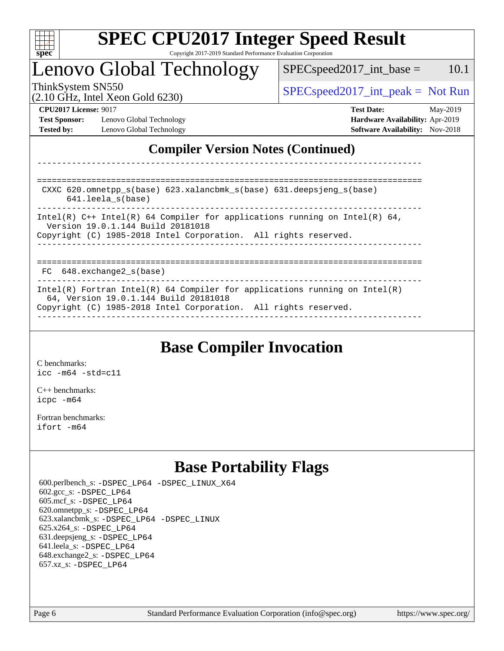

## Lenovo Global Technology

ThinkSystem SN550<br>  $SPEC speed2017\_int\_peak = Not Run$  $SPEC speed2017\_int\_base = 10.1$ 

(2.10 GHz, Intel Xeon Gold 6230)

**[Test Sponsor:](http://www.spec.org/auto/cpu2017/Docs/result-fields.html#TestSponsor)** Lenovo Global Technology **[Hardware Availability:](http://www.spec.org/auto/cpu2017/Docs/result-fields.html#HardwareAvailability)** Apr-2019 **[Tested by:](http://www.spec.org/auto/cpu2017/Docs/result-fields.html#Testedby)** Lenovo Global Technology **[Software Availability:](http://www.spec.org/auto/cpu2017/Docs/result-fields.html#SoftwareAvailability)** Nov-2018

**[CPU2017 License:](http://www.spec.org/auto/cpu2017/Docs/result-fields.html#CPU2017License)** 9017 **[Test Date:](http://www.spec.org/auto/cpu2017/Docs/result-fields.html#TestDate)** May-2019

## **[Compiler Version Notes \(Continued\)](http://www.spec.org/auto/cpu2017/Docs/result-fields.html#CompilerVersionNotes)**

============================================================================== CXXC 620.omnetpp\_s(base) 623.xalancbmk\_s(base) 631.deepsjeng\_s(base) 641.leela\_s(base) ------------------------------------------------------------------------------ Intel(R)  $C_{++}$  Intel(R) 64 Compiler for applications running on Intel(R) 64, Version 19.0.1.144 Build 20181018 Copyright (C) 1985-2018 Intel Corporation. All rights reserved. ------------------------------------------------------------------------------ ============================================================================== FC 648.exchange2 s(base) ------------------------------------------------------------------------------ Intel(R) Fortran Intel(R) 64 Compiler for applications running on Intel(R) 64, Version 19.0.1.144 Build 20181018 Copyright (C) 1985-2018 Intel Corporation. All rights reserved. ------------------------------------------------------------------------------

------------------------------------------------------------------------------

## **[Base Compiler Invocation](http://www.spec.org/auto/cpu2017/Docs/result-fields.html#BaseCompilerInvocation)**

[C benchmarks](http://www.spec.org/auto/cpu2017/Docs/result-fields.html#Cbenchmarks): [icc -m64 -std=c11](http://www.spec.org/cpu2017/results/res2019q2/cpu2017-20190513-13949.flags.html#user_CCbase_intel_icc_64bit_c11_33ee0cdaae7deeeab2a9725423ba97205ce30f63b9926c2519791662299b76a0318f32ddfffdc46587804de3178b4f9328c46fa7c2b0cd779d7a61945c91cd35)

[C++ benchmarks:](http://www.spec.org/auto/cpu2017/Docs/result-fields.html#CXXbenchmarks) [icpc -m64](http://www.spec.org/cpu2017/results/res2019q2/cpu2017-20190513-13949.flags.html#user_CXXbase_intel_icpc_64bit_4ecb2543ae3f1412ef961e0650ca070fec7b7afdcd6ed48761b84423119d1bf6bdf5cad15b44d48e7256388bc77273b966e5eb805aefd121eb22e9299b2ec9d9)

[Fortran benchmarks](http://www.spec.org/auto/cpu2017/Docs/result-fields.html#Fortranbenchmarks): [ifort -m64](http://www.spec.org/cpu2017/results/res2019q2/cpu2017-20190513-13949.flags.html#user_FCbase_intel_ifort_64bit_24f2bb282fbaeffd6157abe4f878425411749daecae9a33200eee2bee2fe76f3b89351d69a8130dd5949958ce389cf37ff59a95e7a40d588e8d3a57e0c3fd751)

## **[Base Portability Flags](http://www.spec.org/auto/cpu2017/Docs/result-fields.html#BasePortabilityFlags)**

 600.perlbench\_s: [-DSPEC\\_LP64](http://www.spec.org/cpu2017/results/res2019q2/cpu2017-20190513-13949.flags.html#b600.perlbench_s_basePORTABILITY_DSPEC_LP64) [-DSPEC\\_LINUX\\_X64](http://www.spec.org/cpu2017/results/res2019q2/cpu2017-20190513-13949.flags.html#b600.perlbench_s_baseCPORTABILITY_DSPEC_LINUX_X64) 602.gcc\_s: [-DSPEC\\_LP64](http://www.spec.org/cpu2017/results/res2019q2/cpu2017-20190513-13949.flags.html#suite_basePORTABILITY602_gcc_s_DSPEC_LP64) 605.mcf\_s: [-DSPEC\\_LP64](http://www.spec.org/cpu2017/results/res2019q2/cpu2017-20190513-13949.flags.html#suite_basePORTABILITY605_mcf_s_DSPEC_LP64) 620.omnetpp\_s: [-DSPEC\\_LP64](http://www.spec.org/cpu2017/results/res2019q2/cpu2017-20190513-13949.flags.html#suite_basePORTABILITY620_omnetpp_s_DSPEC_LP64) 623.xalancbmk\_s: [-DSPEC\\_LP64](http://www.spec.org/cpu2017/results/res2019q2/cpu2017-20190513-13949.flags.html#suite_basePORTABILITY623_xalancbmk_s_DSPEC_LP64) [-DSPEC\\_LINUX](http://www.spec.org/cpu2017/results/res2019q2/cpu2017-20190513-13949.flags.html#b623.xalancbmk_s_baseCXXPORTABILITY_DSPEC_LINUX) 625.x264\_s: [-DSPEC\\_LP64](http://www.spec.org/cpu2017/results/res2019q2/cpu2017-20190513-13949.flags.html#suite_basePORTABILITY625_x264_s_DSPEC_LP64) 631.deepsjeng\_s: [-DSPEC\\_LP64](http://www.spec.org/cpu2017/results/res2019q2/cpu2017-20190513-13949.flags.html#suite_basePORTABILITY631_deepsjeng_s_DSPEC_LP64) 641.leela\_s: [-DSPEC\\_LP64](http://www.spec.org/cpu2017/results/res2019q2/cpu2017-20190513-13949.flags.html#suite_basePORTABILITY641_leela_s_DSPEC_LP64) 648.exchange2\_s: [-DSPEC\\_LP64](http://www.spec.org/cpu2017/results/res2019q2/cpu2017-20190513-13949.flags.html#suite_basePORTABILITY648_exchange2_s_DSPEC_LP64) 657.xz\_s: [-DSPEC\\_LP64](http://www.spec.org/cpu2017/results/res2019q2/cpu2017-20190513-13949.flags.html#suite_basePORTABILITY657_xz_s_DSPEC_LP64)